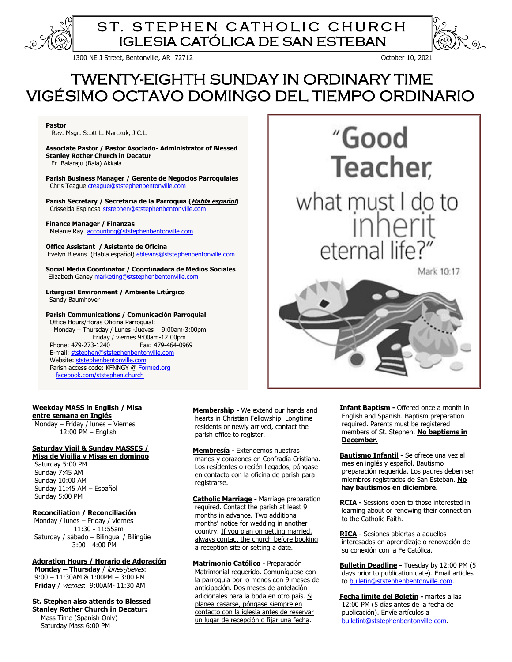

# ST. STEPHEN CATHOLIC CHURCH IGLESIA CATÓLICA DE SAN ESTEBAN

1300 NE J Street, Bentonville, AR 72712 October 10, 2021

# TWENTY-EIGHTH SUNDAY IN ORDINARY TIME VIGÉSIMO OCTAVO DOMINGO DEL TIEMPO ORDINARIO

**Pastor** 

Rev. Msgr. Scott L. Marczuk, J.C.L.

**Associate Pastor / Pastor Asociado- Administrator of Blessed Stanley Rother Church in Decatur**

Fr. Balaraju (Bala) Akkala

**Parish Business Manager / Gerente de Negocios Parroquiales** Chris Teague cteaque@ststephenbentonville.com

**Parish Secretary / Secretaria de la Parroquia (Habla español)** Crisselda Espinosa [ststephen@ststephenbentonville.com](mailto:ststephen@ststephenbentonville.com)

#### **Finance Manager / Finanzas**

Melanie Ray [accounting@ststephenbentonville.com](mailto:accounting@ststephenbentonville.com)

**Office Assistant / Asistente de Oficina** Evelyn Blevins (Habla español) [eblevins@ststephenbentonville.com](mailto:eblevins@ststephenbentonville.com) 

**Social Media Coordinator / Coordinadora de Medios Sociales** Elizabeth Ganey [marketing@ststephenbentonville.com](mailto:marketing@ststephenbentonville.com)

**Liturgical Environment / Ambiente Litúrgico** Sandy Baumhover

## **Parish Communications / Comunicación Parroquial**

 Office Hours/Horas Oficina Parroquial: Monday – Thursday / Lunes -Jueves 9:00am-3:00pm Friday / viernes 9:00am-12:00pm Phone: 479-273-1240 E-mail: [ststephen@ststephenbentonville.com](mailto:ststephen@ststephenbentonville.com)  Website: ststephenbentonville.com Parish access code: KFNNGY [@ Formed.org](http://www.formed.org/) [facebook.com/ststephen.church](http://www.facebook.com/ststephen.church)



**Weekday MASS in English / Misa entre semana en Inglés**

 Monday – Friday / lunes – Viernes 12:00 PM – English

# **Saturday Vigil & Sunday MASSES /**

**Misa de Vigilia y Misas en domingo** Saturday 5:00 PM

 Sunday 7:45 AM Sunday 10:00 AM Sunday 11:45 AM – Español Sunday 5:00 PM

### **Reconciliation / Reconciliación**

Monday / lunes – Friday / viernes 11:30 - 11:55am Saturday / sábado – Bilingual / Bilingüe 3:00 - 4:00 PM

**Adoration Hours / Horario de Adoración Monday – Thursday** / lunes-jueves: 9:00 – 11:30AM & 1:00PM – 3:00 PM **Friday** / viernes: 9:00AM- 11:30 AM

**St. Stephen also attends to Blessed** 

**Stanley Rother Church in Decatur:** Mass Time (Spanish Only) Saturday Mass 6:00 PM

 **Membership -** We extend our hands and hearts in Christian Fellowship. Longtime residents or newly arrived, contact the parish office to register.

**Membresía** - Extendemos nuestras manos y corazones en Confradía Cristiana. Los residentes o recién llegados, póngase en contacto con la oficina de parish para registrarse.

**Catholic Marriage -** Marriage preparation required. Contact the parish at least 9 months in advance. Two additional months' notice for wedding in another country. If you plan on getting married, always contact the church before booking a reception site or setting a date.

**Matrimonio Católico** - Preparación Matrimonial requerido. Comuníquese con la parroquia por lo menos con 9 meses de anticipación. Dos meses de antelación adicionales para la boda en otro país. Si planea casarse, póngase siempre en contacto con la iglesia antes de reservar un lugar de recepción o fijar una fecha.

**Infant Baptism -** Offered once a month in English and Spanish. Baptism preparation required. Parents must be registered members of St. Stephen. **No baptisms in December.**

**Bautismo Infantil -** Se ofrece una vez al mes en inglés y español. Bautismo preparación requerida. Los padres deben ser miembros registrados de San Esteban. **No hay bautismos en diciembre.**

**RCIA -** Sessions open to those interested in learning about or renewing their connection to the Catholic Faith.

**RICA -** Sesiones abiertas a aquellos interesados en aprendizaje o renovación de su conexión con la Fe Católica.

**Bulletin Deadline -** Tuesday by 12:00 PM (5 days prior to publication date). Email articles to [bulletin@ststephenbentonville.com.](mailto:bulletin@ststephenbentonville.com)

**Fecha límite del Boletín -** martes a las 12:00 PM (5 días antes de la fecha de publicación). Envíe artículos a [bulletint@ststephenbentonville.com.](mailto:bulletint@ststephenbentonville.com)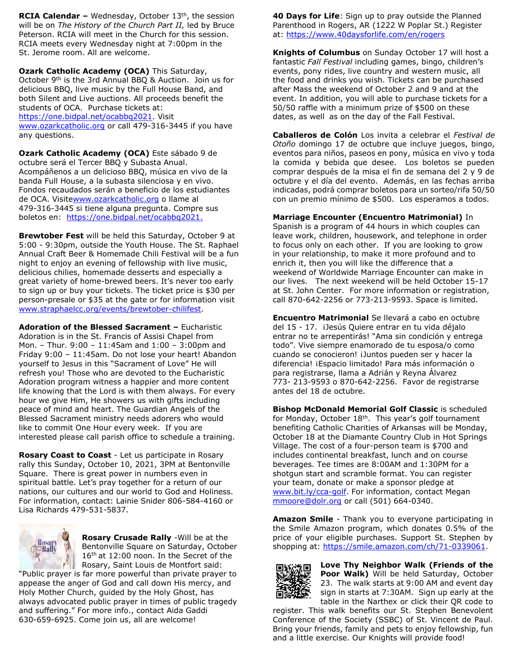**RCIA Calendar -** Wednesday, October 13<sup>th</sup>, the session will be on *The History of the Church Part II,* led by Bruce Peterson. RCIA will meet in the Church for this session. RCIA meets every Wednesday night at 7:00pm in the St. Jerome room. All are welcome.

**Ozark Catholic Academy (OCA)** This Saturday, October 9th is the 3rd Annual BBQ & Auction. Join us for delicious BBQ, live music by the Full House Band, and both Silent and Live auctions. All proceeds benefit the students of OCA. Purchase tickets at: [https://one.bidpal.net/ocabbq2021.](https://one.bidpal.net/ocabbq2021) Visit [www.ozarkcatholic.org](http://www.ozarkcatholic.org/) or call 479-316-3445 if you have any questions.

**Ozark Catholic Academy (OCA)** Este sábado 9 de octubre será el Tercer BBQ y Subasta Anual. Acompáñenos a un delicioso BBQ, música en vivo de la banda Full House, a la subasta silenciosa y en vivo. Fondos recaudados serán a beneficio de los estudiantes de OCA. Visit[ewww.ozarkcatholic.org](http://www.ozarkcatholic.org/) o llame al 479-316-3445 si tiene alguna pregunta. Compre sus boletos en: [https://one.bidpal.net/ocabbq2021.](https://one.bidpal.net/ocabbq2021)

**Brewtober Fest** will be held this Saturday, October 9 at 5:00 - 9:30pm, outside the Youth House. The St. Raphael Annual Craft Beer & Homemade Chili Festival will be a fun night to enjoy an evening of fellowship with live music, delicious chilies, homemade desserts and especially a great variety of home-brewed beers. It's never too early to sign up or buy your tickets. The ticket price is \$30 per person-presale or \$35 at the gate or for information visit [www.straphaelcc.org/events/brewtober-chilifest.](http://www.straphaelcc.org/events/brewtober-chilifest)

**Adoration of the Blessed Sacrament –** Eucharistic Adoration is in the St. Francis of Assisi Chapel from Mon. – Thur. 9:00 – 11:45am and 1:00 – 3:00pm and Friday 9:00 – 11:45am. Do not lose your heart! Abandon yourself to Jesus in this "Sacrament of Love" He will refresh you! Those who are devoted to the Eucharistic Adoration program witness a happier and more content life knowing that the Lord is with them always. For every hour we give Him, He showers us with gifts including peace of mind and heart. The Guardian Angels of the Blessed Sacrament ministry needs adorers who would like to commit One Hour every week. If you are interested please call parish office to schedule a training.

**Rosary Coast to Coast** - Let us participate in Rosary rally this Sunday, October 10, 2021, 3PM at Bentonville Square. There is great power in numbers even in spiritual battle. Let's pray together for a return of our nations, our cultures and our world to God and Holiness. For information, contact: Lainie Snider 806-584-4160 or Lisa Richards 479-531-5837.



**Rosary Crusade Rally** -Will be at the Bentonville Square on Saturday, October 16<sup>th</sup> at 12:00 noon. In the Secret of the Rosary, Saint Louis de Montfort said:

"Public prayer is far more powerful than private prayer to appease the anger of God and call down His mercy, and Holy Mother Church, guided by the Holy Ghost, has always advocated public prayer in times of public tragedy and suffering." For more info., contact Aida Gaddi 630-659-6925. Come join us, all are welcome!

**40 Days for Life**: Sign up to pray outside the Planned Parenthood in Rogers, AR (1222 W Poplar St.) Register at: <https://www.40daysforlife.com/en/rogers>

**Knights of Columbus** on Sunday October 17 will host a fantastic *Fall Festival* including games, bingo, children's events, pony rides, live country and western music, all the food and drinks you wish. Tickets can be purchased after Mass the weekend of October 2 and 9 and at the event. In addition, you will able to purchase tickets for a 50/50 raffle with a minimum prize of \$500 on these dates, as well as on the day of the Fall Festival.

**Caballeros de Colón** Los invita a celebrar el *Festival de Otoño* domingo 17 de octubre que incluye juegos, bingo, eventos para niños, paseos en pony, música en vivo y toda la comida y bebida que desee. Los boletos se pueden comprar después de la misa el fin de semana del 2 y 9 de octubre y el día del evento. Además, en las fechas arriba indicadas, podrá comprar boletos para un sorteo/rifa 50/50 con un premio mínimo de \$500. Los esperamos a todos.

**Marriage Encounter (Encuentro Matrimonial)** In

Spanish is a program of 44 hours in which couples can leave work, children, housework, and telephone in order to focus only on each other. If you are looking to grow in your relationship, to make it more profound and to enrich it, then you will like the difference that a weekend of Worldwide Marriage Encounter can make in our lives. The next weekend will be held October 15-17 at St. John Center. For more information or registration, call 870-642-2256 or 773-213-9593. Space is limited.

**Encuentro Matrimonial** Se llevará a cabo en octubre del 15 - 17. ¡Jesús Quiere entrar en tu vida déjalo entrar no te arrepentirás! "Ama sin condición y entrega todo". Vive siempre enamorado de tu esposa/o como cuando se conocieron! ¡Juntos pueden ser y hacer la diferencia! ¡Espacio limitado! Para más información o para registrarse, llama a Adrián y Reyna Álvarez 773- 213-9593 o 870-642-2256. Favor de registrarse antes del 18 de octubre.

**Bishop McDonald Memorial Golf Classic** is scheduled for Monday, October 18<sup>th</sup>. This year's golf tournament benefiting Catholic Charities of Arkansas will be Monday, October 18 at the Diamante Country Club in Hot Springs Village. The cost of a four-person team is \$700 and includes continental breakfast, lunch and on course beverages. Tee times are 8:00AM and 1:30PM for a shotgun start and scramble format. You can register your team, donate or make a sponsor pledge at [www.bit.ly/cca-golf.](http://www.bit.ly/cca-golf) For information, contact Megan [mmoore@dolr.org](mailto:mmoore@dolr.org) or call (501) 664-0340.

**Amazon Smile** - Thank you to everyone participating in the Smile Amazon program, which donates 0.5% of the price of your eligible purchases. Support St. Stephen by shopping at: [https://smile.amazon.com/ch/71-0339061.](https://smile.amazon.com/ch/71-0339061)



**Love Thy Neighbor Walk (Friends of the Poor Walk)** Will be held Saturday, October 23. The walk starts at 9:00 AM and event day sign in starts at 7:30AM. Sign up early at the table in the Narthex or click their QR code to

register. This walk benefits our St. Stephen Benevolent Conference of the Society (SSBC) of St. Vincent de Paul. Bring your friends, family and pets to enjoy fellowship, fun and a little exercise. Our Knights will provide food!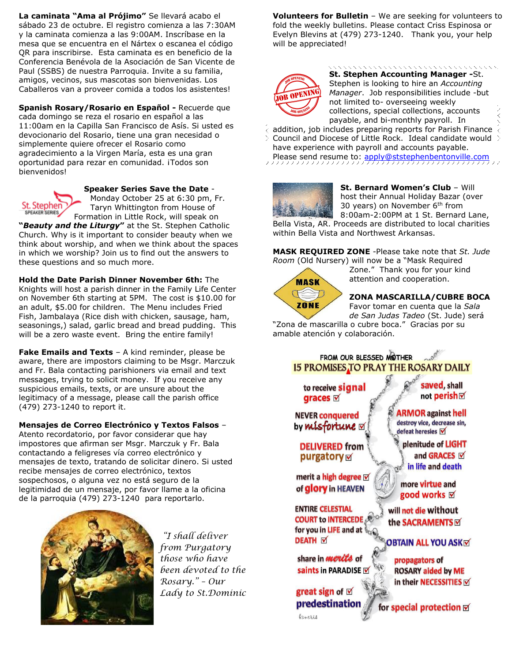**La caminata "Ama al Prójimo"** Se llevará acabo el sábado 23 de octubre. El registro comienza a las 7:30AM y la caminata comienza a las 9:00AM. Inscríbase en la mesa que se encuentra en el Nártex o escanea el código QR para inscribirse. Esta caminata es en beneficio de la Conferencia Benévola de la Asociación de San Vicente de Paul (SSBS) de nuestra Parroquia. Invite a su familia, amigos, vecinos, sus mascotas son bienvenidas. Los Caballeros van a proveer comida a todos los asistentes!

**Spanish Rosary/Rosario en Español -** Recuerde que cada domingo se reza el rosario en español a las 11:00am en la Capilla San Francisco de Asís. Si usted es devocionario del Rosario, tiene una gran necesidad o simplemente quiere ofrecer el Rosario como agradecimiento a la Virgen María, esta es una gran oportunidad para rezar en comunidad. ¡Todos son bienvenidos!



**Speaker Series Save the Date** -

Monday October 25 at 6:30 pm, Fr. Taryn Whittington from House of Formation in Little Rock, will speak on

**"***Beauty and the Liturgy***"** at the St. Stephen Catholic Church. Why is it important to consider beauty when we think about worship, and when we think about the spaces in which we worship? Join us to find out the answers to these questions and so much more.

**Hold the Date Parish Dinner November 6th:** The Knights will host a parish dinner in the Family Life Center on November 6th starting at 5PM. The cost is \$10.00 for an adult, \$5.00 for children. The Menu includes Fried Fish, Jambalaya (Rice dish with chicken, sausage, ham, seasonings,) salad, garlic bread and bread pudding. This will be a zero waste event. Bring the entire family!

**Fake Emails and Texts** – A kind reminder, please be aware, there are impostors claiming to be Msgr. Marczuk and Fr. Bala contacting parishioners via email and text messages, trying to solicit money. If you receive any suspicious emails, texts, or are unsure about the legitimacy of a message, please call the parish office (479) 273-1240 to report it.

**Mensajes de Correo Electrónico y Textos Falsos** –

Atento recordatorio, por favor considerar que hay impostores que afirman ser Msgr. Marczuk y Fr. Bala contactando a feligreses vía correo electrónico y mensajes de texto, tratando de solicitar dinero. Si usted recibe mensajes de correo electrónico, textos sospechosos, o alguna vez no está seguro de la legitimidad de un mensaje, por favor llame a la oficina de la parroquia (479) 273-1240 para reportarlo.



*"I shall deliver from Purgatory those who have been devoted to the Rosary." – Our Lady to St.Dominic*  **Volunteers for Bulletin** – We are seeking for volunteers to fold the weekly bulletins. Please contact Criss Espinosa or Evelyn Blevins at (479) 273-1240. Thank you, your help will be appreciated!



**St. Stephen Accounting Manager -**St. Stephen is looking to hire an *Accounting Manager*. Job responsibilities include -but not limited to- overseeing weekly collections, special collections, accounts payable, and bi-monthly payroll. In

addition, job includes preparing reports for Parish Finance  $\stackrel{\frown}{\longleftrightarrow}$  $>$  Council and Diocese of Little Rock. Ideal candidate would  $>$ have experience with payroll and accounts payable. Please send resume to: [apply@ststephenbentonville.com](mailto:apply@ststephenbentonville.com)



**St. Bernard Women's Club** – Will host their Annual Holiday Bazar (over 30 years) on November  $6<sup>th</sup>$  from 8:00am-2:00PM at 1 St. Bernard Lane,

Bella Vista, AR. Proceeds are distributed to local charities within Bella Vista and Northwest Arkansas.

**MASK REQUIRED ZONE** -Please take note that *St. Jude Room* (Old Nursery) will now be a "Mask Required



**ZONA MASCARILLA/CUBRE BOCA** 

Zone." Thank you for your kind attention and cooperation.

Favor tomar en cuenta que la *Sala de San Judas Tadeo* (St. Jude) será

"Zona de mascarilla o cubre boca." Gracias por su amable atención y colaboración.

# FROM OUR BLESSED MOTHER 15 PROMISES TO PRAY THE ROSARY DAILY

to receive signal graces **⊠** 

saved, shall not perish⊠

**NEVER conquered** by misfortune  $\triangledown$ 

**DELIVERED from** purgatory  $\triangledown$ 

merit a high degree  $\triangledown$ of glory in HEAVEN

**ENTIRE CELESTIAL COURT to INTERCEDE AND THE SACRAMENTS OF SOCK AND ASKED DEATH DEATH DEATH DEATH DEATH OF SACRAMENTS COURSE COURT to INTERCEDE** 

share in *merits* of saints in PARADISE

great sign of  $\nabla$ predestination

*Cancris* 

**ARMOR** against hell

destroy vice, decrease sin, defeat heresies Ø plenitude of LIGHT

and GRACES Ø in life and death do

more virtue and good works **⊠** 

will not die without

propagators of **ROSARY aided by ME** in their NECESSITIES

for special protection M